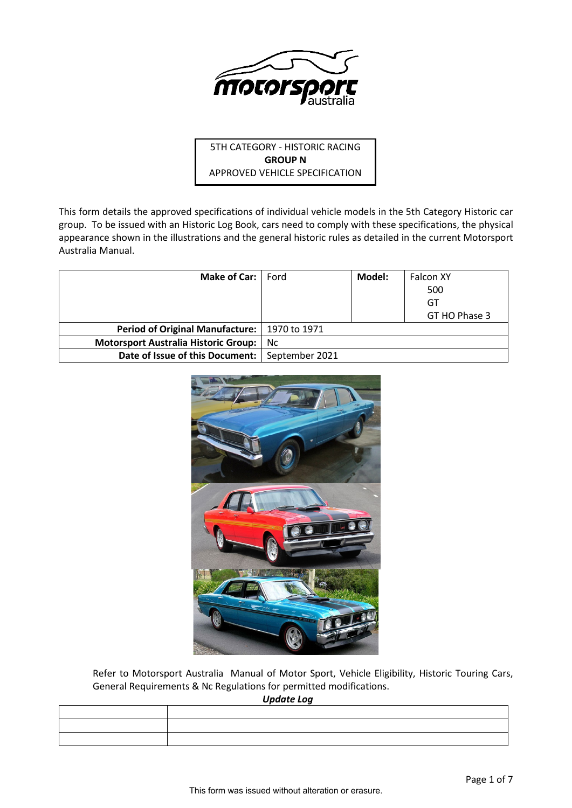

# 5TH CATEGORY - HISTORIC RACING **GROUP N** APPROVED VEHICLE SPECIFICATION

This form details the approved specifications of individual vehicle models in the 5th Category Historic car group. To be issued with an Historic Log Book, cars need to comply with these specifications, the physical appearance shown in the illustrations and the general historic rules as detailed in the current Motorsport Australia Manual.

| <b>Make of Car:</b> Ford                         |     | Model: | <b>Falcon XY</b> |
|--------------------------------------------------|-----|--------|------------------|
|                                                  |     |        | 500              |
|                                                  |     |        | GT               |
|                                                  |     |        | GT HO Phase 3    |
| Period of Original Manufacture:   1970 to 1971   |     |        |                  |
| <b>Motorsport Australia Historic Group:</b>      | Nc. |        |                  |
| Date of Issue of this Document:   September 2021 |     |        |                  |



Refer to Motorsport Australia Manual of Motor Sport, Vehicle Eligibility, Historic Touring Cars, General Requirements & Nc Regulations for permitted modifications.

*Update Log*

| opaato sog |  |  |  |  |
|------------|--|--|--|--|
|            |  |  |  |  |
|            |  |  |  |  |
|            |  |  |  |  |
|            |  |  |  |  |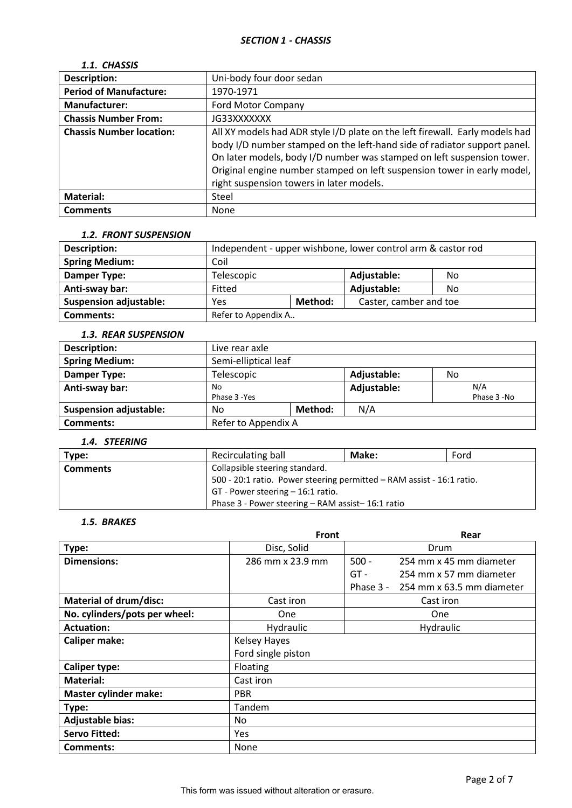# *1.1. CHASSIS*

| <b>Description:</b>             | Uni-body four door sedan                                                                                                                                                                                                                                                                                                                                  |
|---------------------------------|-----------------------------------------------------------------------------------------------------------------------------------------------------------------------------------------------------------------------------------------------------------------------------------------------------------------------------------------------------------|
| <b>Period of Manufacture:</b>   | 1970-1971                                                                                                                                                                                                                                                                                                                                                 |
| Manufacturer:                   | <b>Ford Motor Company</b>                                                                                                                                                                                                                                                                                                                                 |
| <b>Chassis Number From:</b>     | JG33XXXXXXX                                                                                                                                                                                                                                                                                                                                               |
| <b>Chassis Number location:</b> | All XY models had ADR style I/D plate on the left firewall. Early models had<br>body I/D number stamped on the left-hand side of radiator support panel.<br>On later models, body I/D number was stamped on left suspension tower.<br>Original engine number stamped on left suspension tower in early model,<br>right suspension towers in later models. |
| <b>Material:</b>                | Steel                                                                                                                                                                                                                                                                                                                                                     |
| <b>Comments</b>                 | None                                                                                                                                                                                                                                                                                                                                                      |

#### *1.2. FRONT SUSPENSION*

| <b>Description:</b>           | Independent - upper wishbone, lower control arm & castor rod |  |                        |    |
|-------------------------------|--------------------------------------------------------------|--|------------------------|----|
| <b>Spring Medium:</b>         | Coil                                                         |  |                        |    |
| Damper Type:                  | Telescopic                                                   |  | Adjustable:            | No |
| Anti-sway bar:                | Fitted                                                       |  | Adjustable:            | No |
| <b>Suspension adjustable:</b> | Method:<br>Yes                                               |  | Caster, camber and toe |    |
| Comments:                     | Refer to Appendix A                                          |  |                        |    |

### *1.3. REAR SUSPENSION*

| ----------------------        |                      |         |             |             |
|-------------------------------|----------------------|---------|-------------|-------------|
| <b>Description:</b>           | Live rear axle       |         |             |             |
| <b>Spring Medium:</b>         | Semi-elliptical leaf |         |             |             |
| Damper Type:                  | Telescopic           |         | Adjustable: | No          |
| Anti-sway bar:                | No                   |         | Adjustable: | N/A         |
|                               | Phase 3 - Yes        |         |             | Phase 3 -No |
| <b>Suspension adjustable:</b> | No                   | Method: | N/A         |             |
| Comments:                     | Refer to Appendix A  |         |             |             |

### *1.4. STEERING*

| Type:           | Recirculating ball                                                    | Make: | Ford |
|-----------------|-----------------------------------------------------------------------|-------|------|
| <b>Comments</b> | Collapsible steering standard.                                        |       |      |
|                 | 500 - 20:1 ratio. Power steering permitted - RAM assist - 16:1 ratio. |       |      |
|                 | $GT$ - Power steering $-16:1$ ratio.                                  |       |      |
|                 | Phase 3 - Power steering – RAM assist–16:1 ratio                      |       |      |

# *1.5. BRAKES*

|                               | Front               | Rear                                     |
|-------------------------------|---------------------|------------------------------------------|
| Type:                         | Disc, Solid         | Drum                                     |
| <b>Dimensions:</b>            | 286 mm x 23.9 mm    | $500 -$<br>254 mm x 45 mm diameter       |
|                               |                     | $GT -$<br>254 mm x 57 mm diameter        |
|                               |                     | Phase $3 -$<br>254 mm x 63.5 mm diameter |
| <b>Material of drum/disc:</b> | Cast iron           | Cast iron                                |
| No. cylinders/pots per wheel: | <b>One</b>          | One                                      |
| <b>Actuation:</b>             | Hydraulic           | Hydraulic                                |
| <b>Caliper make:</b>          | <b>Kelsey Hayes</b> |                                          |
|                               | Ford single piston  |                                          |
| <b>Caliper type:</b>          | Floating            |                                          |
| Material:                     | Cast iron           |                                          |
| <b>Master cylinder make:</b>  | <b>PBR</b>          |                                          |
| Type:                         | <b>Tandem</b>       |                                          |
| <b>Adjustable bias:</b>       | No.                 |                                          |
| <b>Servo Fitted:</b>          | <b>Yes</b>          |                                          |
| <b>Comments:</b>              | None                |                                          |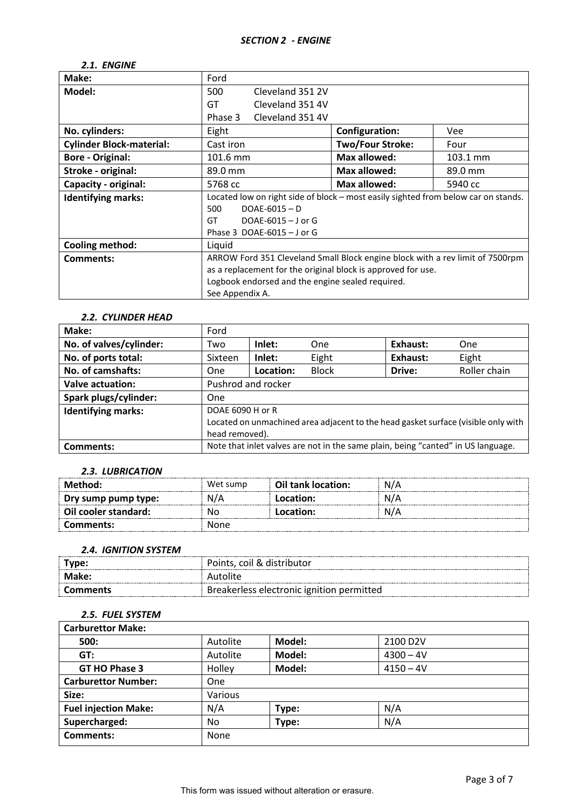### *2.1. ENGINE*

| Make:                           | Ford                                                                               |                         |          |
|---------------------------------|------------------------------------------------------------------------------------|-------------------------|----------|
| Model:                          | 500<br>Cleveland 351 2V                                                            |                         |          |
|                                 | GT<br>Cleveland 351 4V                                                             |                         |          |
|                                 | Cleveland 351 4V<br>Phase 3                                                        |                         |          |
| No. cylinders:                  | Eight                                                                              | <b>Configuration:</b>   | Vee      |
| <b>Cylinder Block-material:</b> | Cast iron                                                                          | <b>Two/Four Stroke:</b> | Four     |
| <b>Bore - Original:</b>         | 101.6 mm                                                                           | <b>Max allowed:</b>     | 103.1 mm |
| Stroke - original:              | 89.0 mm                                                                            | Max allowed:            | 89.0 mm  |
| Capacity - original:            | 5768 cc                                                                            | Max allowed:            | 5940 cc  |
| <b>Identifying marks:</b>       | Located low on right side of block - most easily sighted from below car on stands. |                         |          |
|                                 | $DOAE-6015 - D$<br>500                                                             |                         |          |
|                                 | DOAE-6015 $-$ J or G<br>GT                                                         |                         |          |
|                                 | Phase 3 DOAE-6015 $-$ J or G                                                       |                         |          |
| <b>Cooling method:</b>          | Liquid                                                                             |                         |          |
| Comments:                       | ARROW Ford 351 Cleveland Small Block engine block with a rev limit of 7500rpm      |                         |          |
|                                 | as a replacement for the original block is approved for use.                       |                         |          |
|                                 | Logbook endorsed and the engine sealed required.                                   |                         |          |
|                                 | See Appendix A.                                                                    |                         |          |

#### *2.2. CYLINDER HEAD*

| Make:                     | Ford                                                                              |           |              |          |              |
|---------------------------|-----------------------------------------------------------------------------------|-----------|--------------|----------|--------------|
| No. of valves/cylinder:   | Two                                                                               | Inlet:    | One          | Exhaust: | One          |
| No. of ports total:       | Sixteen                                                                           | Inlet:    | Eight        | Exhaust: | Eight        |
| No. of camshafts:         | One                                                                               | Location: | <b>Block</b> | Drive:   | Roller chain |
| <b>Valve actuation:</b>   | Pushrod and rocker                                                                |           |              |          |              |
| Spark plugs/cylinder:     | One                                                                               |           |              |          |              |
| <b>Identifying marks:</b> | DOAE 6090 H or R                                                                  |           |              |          |              |
|                           | Located on unmachined area adjacent to the head gasket surface (visible only with |           |              |          |              |
|                           | head removed).                                                                    |           |              |          |              |
| Comments:                 | Note that inlet valves are not in the same plain, being "canted" in US language.  |           |              |          |              |

#### *2.3. LUBRICATION*

| Method:              | Wet sump | Oil tank location: | N/A |
|----------------------|----------|--------------------|-----|
| Dry sump pump type:  | N/A      | Location:          | N/A |
| Oil cooler standard: | Nο       | Location:          |     |
| Comments:            | None     |                    |     |

#### *2.4. IGNITION SYSTEM*

| Type:    | Points, coil & distributor                |  |
|----------|-------------------------------------------|--|
| . Make:  | Autolite                                  |  |
| Comments | Breakerless electronic ignition permitted |  |

# *2.5. FUEL SYSTEM*

| <b>Carburettor Make:</b>    |          |        |                       |
|-----------------------------|----------|--------|-----------------------|
| 500:                        | Autolite | Model: | 2100 D <sub>2</sub> V |
| GT:                         | Autolite | Model: | $4300 - 4V$           |
| GT HO Phase 3               | Holley   | Model: | $4150 - 4V$           |
| <b>Carburettor Number:</b>  | One      |        |                       |
| Size:                       | Various  |        |                       |
| <b>Fuel injection Make:</b> | N/A      | Type:  | N/A                   |
| Supercharged:               | No       | Type:  | N/A                   |
| <b>Comments:</b>            | None     |        |                       |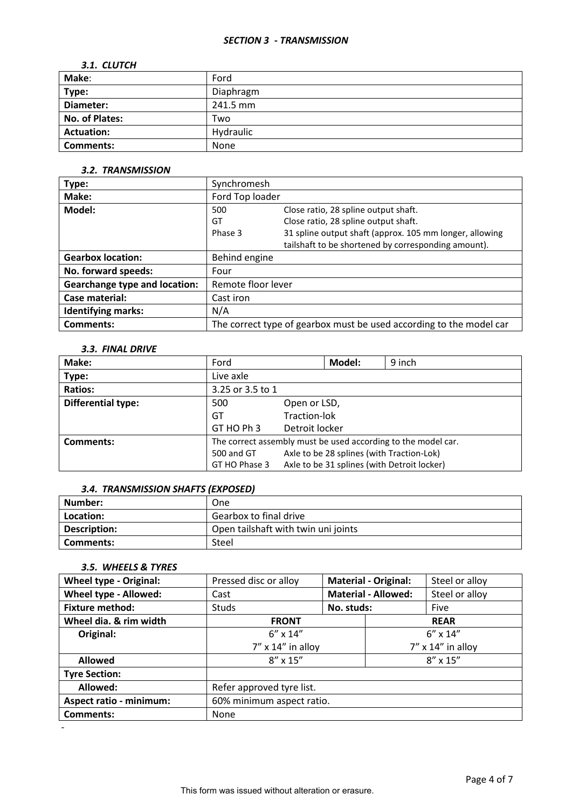#### *SECTION 3 - TRANSMISSION*

### *3.1. CLUTCH*

| Make:             | Ford      |
|-------------------|-----------|
| Type:             | Diaphragm |
| Diameter:         | 241.5 mm  |
| No. of Plates:    | Two       |
| <b>Actuation:</b> | Hydraulic |
| <b>Comments:</b>  | None      |

#### *3.2. TRANSMISSION*

| Type:                                | Synchromesh        |                                                                     |
|--------------------------------------|--------------------|---------------------------------------------------------------------|
| Make:                                | Ford Top loader    |                                                                     |
| Model:                               | 500                | Close ratio, 28 spline output shaft.                                |
|                                      | GT                 | Close ratio, 28 spline output shaft.                                |
|                                      | Phase 3            | 31 spline output shaft (approx. 105 mm longer, allowing             |
|                                      |                    | tailshaft to be shortened by corresponding amount).                 |
| <b>Gearbox location:</b>             | Behind engine      |                                                                     |
| No. forward speeds:                  | Four               |                                                                     |
| <b>Gearchange type and location:</b> | Remote floor lever |                                                                     |
| Case material:                       | Cast iron          |                                                                     |
| <b>Identifying marks:</b>            | N/A                |                                                                     |
| Comments:                            |                    | The correct type of gearbox must be used according to the model car |

### *3.3. FINAL DRIVE*

| Make:                     | Ford                                                          |                                             | Model: | 9 inch |  |
|---------------------------|---------------------------------------------------------------|---------------------------------------------|--------|--------|--|
| Type:                     | Live axle                                                     |                                             |        |        |  |
| <b>Ratios:</b>            | 3.25 or 3.5 to 1                                              |                                             |        |        |  |
| <b>Differential type:</b> | 500                                                           | Open or LSD,                                |        |        |  |
|                           | GT                                                            | Traction-lok                                |        |        |  |
|                           | GT HO Ph 3                                                    | Detroit locker                              |        |        |  |
| <b>Comments:</b>          | The correct assembly must be used according to the model car. |                                             |        |        |  |
|                           | 500 and GT                                                    | Axle to be 28 splines (with Traction-Lok)   |        |        |  |
|                           | GT HO Phase 3                                                 | Axle to be 31 splines (with Detroit locker) |        |        |  |

# *3.4. TRANSMISSION SHAFTS (EXPOSED)*

| Number:      | One                                 |
|--------------|-------------------------------------|
| Location:    | Gearbox to final drive              |
| Description: | Open tailshaft with twin uni joints |
| Comments:    | Steel                               |

# *3.5. WHEELS & TYRES*

| <b>Wheel type - Original:</b>  | Pressed disc or alloy     | <b>Material - Original:</b> |                      | Steel or alloy    |  |
|--------------------------------|---------------------------|-----------------------------|----------------------|-------------------|--|
| Wheel type - Allowed:          | Cast                      | <b>Material - Allowed:</b>  |                      | Steel or alloy    |  |
| <b>Fixture method:</b>         | Studs                     | No. studs:                  |                      | Five              |  |
| Wheel dia. & rim width         | <b>FRONT</b>              |                             |                      | <b>REAR</b>       |  |
| Original:                      | $6'' \times 14''$         |                             |                      | $6'' \times 14''$ |  |
|                                | $7''$ x 14" in alloy      |                             | $7''$ x 14" in alloy |                   |  |
| <b>Allowed</b>                 | $8'' \times 15''$         |                             | $8'' \times 15''$    |                   |  |
| <b>Tyre Section:</b>           |                           |                             |                      |                   |  |
| Allowed:                       | Refer approved tyre list. |                             |                      |                   |  |
| <b>Aspect ratio - minimum:</b> | 60% minimum aspect ratio. |                             |                      |                   |  |
| <b>Comments:</b>               | None                      |                             |                      |                   |  |
|                                |                           |                             |                      |                   |  |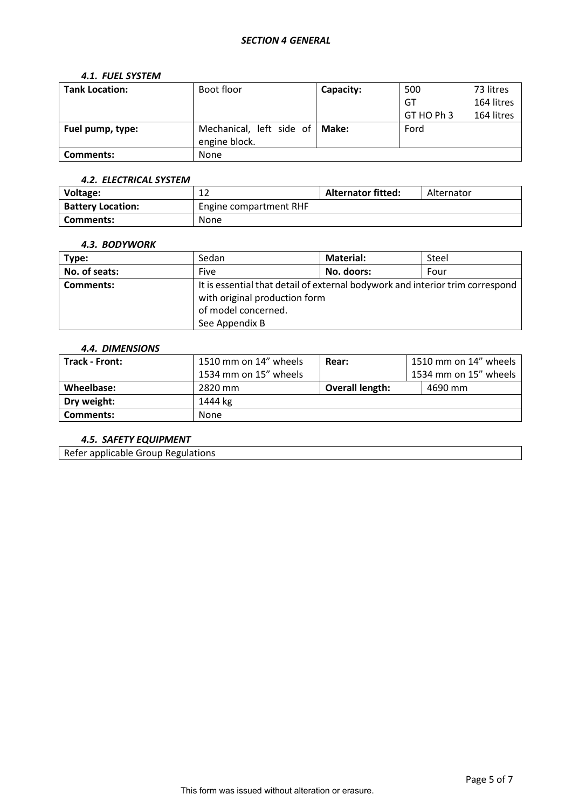### *SECTION 4 GENERAL*

#### *4.1. FUEL SYSTEM*

| <b>Tank Location:</b> | Boot floor               | Capacity: | 500        | 73 litres  |
|-----------------------|--------------------------|-----------|------------|------------|
|                       |                          |           | GT         | 164 litres |
|                       |                          |           | GT HO Ph 3 | 164 litres |
| Fuel pump, type:      | Mechanical, left side of | Make:     | Ford       |            |
|                       | engine block.            |           |            |            |
| <b>Comments:</b>      | <b>None</b>              |           |            |            |

#### *4.2. ELECTRICAL SYSTEM*

| Voltage:                 | ∸∸                     | <b>Alternator fitted:</b> | Alternator |
|--------------------------|------------------------|---------------------------|------------|
| <b>Battery Location:</b> | Engine compartment RHF |                           |            |
| Comments:                | None                   |                           |            |

#### *4.3. BODYWORK*

| Type:         | Sedan                                                                         | <b>Material:</b> | Steel |  |
|---------------|-------------------------------------------------------------------------------|------------------|-------|--|
| No. of seats: | <b>Five</b>                                                                   | No. doors:       | Four  |  |
| Comments:     | It is essential that detail of external bodywork and interior trim correspond |                  |       |  |
|               | with original production form                                                 |                  |       |  |
|               | of model concerned.                                                           |                  |       |  |
|               | See Appendix B                                                                |                  |       |  |

#### *4.4. DIMENSIONS*

| Track - Front:   | 1510 mm on 14" wheels | Rear:                  | 1510 mm on 14" wheels |
|------------------|-----------------------|------------------------|-----------------------|
|                  | 1534 mm on 15" wheels |                        | 1534 mm on 15" wheels |
| Wheelbase:       | 2820 mm               | <b>Overall length:</b> | 4690 mm               |
| Dry weight:      | 1444 kg               |                        |                       |
| <b>Comments:</b> | <b>None</b>           |                        |                       |

### *4.5. SAFETY EQUIPMENT*

Refer applicable Group Regulations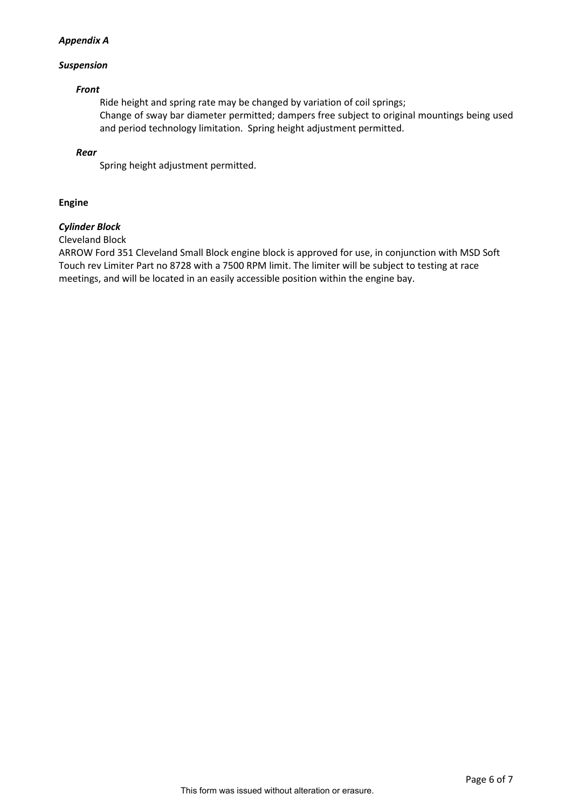### *Appendix A*

### *Suspension*

### *Front*

Ride height and spring rate may be changed by variation of coil springs; Change of sway bar diameter permitted; dampers free subject to original mountings being used and period technology limitation. Spring height adjustment permitted.

### *Rear*

Spring height adjustment permitted.

# **Engine**

# *Cylinder Block*

# Cleveland Block

ARROW Ford 351 Cleveland Small Block engine block is approved for use, in conjunction with MSD Soft Touch rev Limiter Part no 8728 with a 7500 RPM limit. The limiter will be subject to testing at race meetings, and will be located in an easily accessible position within the engine bay.